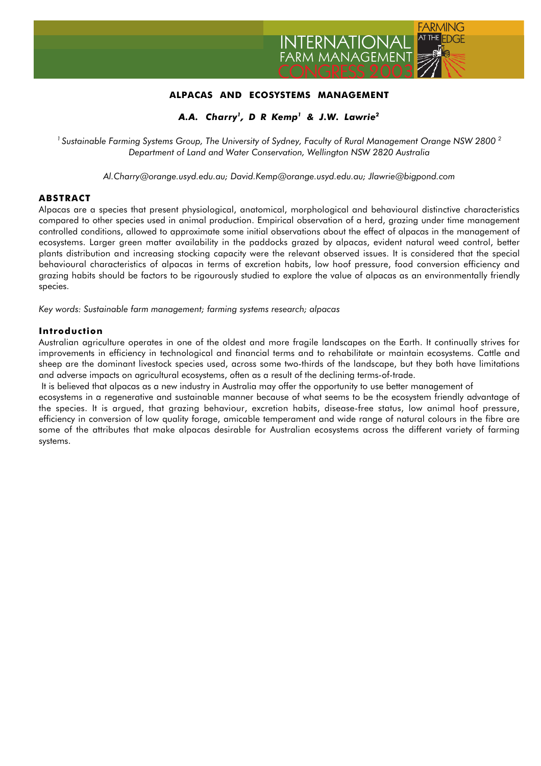

# **ALPACAS AND ECOSYSTEMS MANAGEMENT**

*A.A. Charry1, D R Kemp1 & J.W. Lawrie2*

*1 Sustainable Farming Systems Group, The University of Sydney, Faculty of Rural Management Orange NSW 2800 2 Department of Land and Water Conservation, Wellington NSW 2820 Australia*

*Al.Charry@orange.usyd.edu.au; David.Kemp@orange.usyd.edu.au; Jlawrie@bigpond.com*

### **ABSTRACT**

Alpacas are a species that present physiological, anatomical, morphological and behavioural distinctive characteristics compared to other species used in animal production. Empirical observation of a herd, grazing under time management controlled conditions, allowed to approximate some initial observations about the effect of alpacas in the management of ecosystems. Larger green matter availability in the paddocks grazed by alpacas, evident natural weed control, better plants distribution and increasing stocking capacity were the relevant observed issues. It is considered that the special behavioural characteristics of alpacas in terms of excretion habits, low hoof pressure, food conversion efficiency and grazing habits should be factors to be rigourously studied to explore the value of alpacas as an environmentally friendly species.

*Key words: Sustainable farm management; farming systems research; alpacas*

#### **Introduction**

Australian agriculture operates in one of the oldest and more fragile landscapes on the Earth. It continually strives for improvements in efficiency in technological and financial terms and to rehabilitate or maintain ecosystems. Cattle and sheep are the dominant livestock species used, across some two-thirds of the landscape, but they both have limitations and adverse impacts on agricultural ecosystems, often as a result of the declining terms-of-trade.

It is believed that alpacas as a new industry in Australia may offer the opportunity to use better management of

ecosystems in a regenerative and sustainable manner because of what seems to be the ecosystem friendly advantage of the species. It is argued, that grazing behaviour, excretion habits, disease-free status, low animal hoof pressure, efficiency in conversion of low quality forage, amicable temperament and wide range of natural colours in the fibre are some of the attributes that make alpacas desirable for Australian ecosystems across the different variety of farming systems.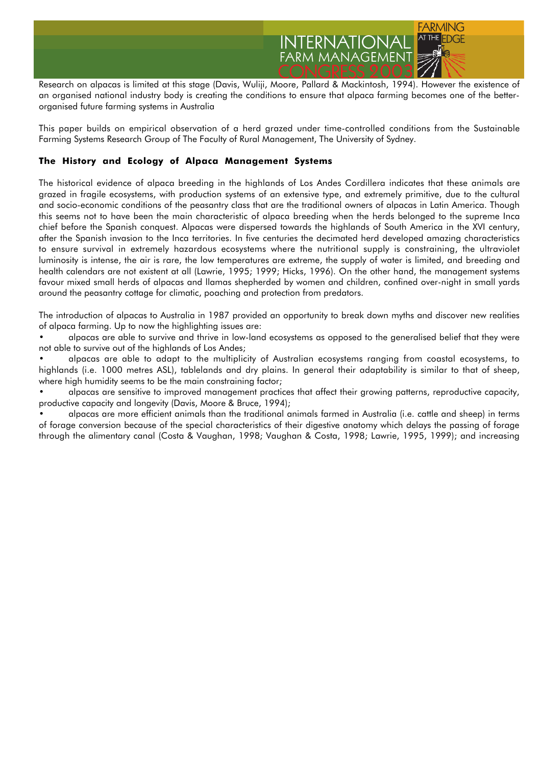

Research on alpacas is limited at this stage (Davis, Wuliji, Moore, Pallard & Mackintosh, 1994). However the existence of an organised national industry body is creating the conditions to ensure that alpaca farming becomes one of the betterorganised future farming systems in Australia

This paper builds on empirical observation of a herd grazed under time-controlled conditions from the Sustainable Farming Systems Research Group of The Faculty of Rural Management, The University of Sydney.

### **The History and Ecology of Alpaca Management Systems**

The historical evidence of alpaca breeding in the highlands of Los Andes Cordillera indicates that these animals are grazed in fragile ecosystems, with production systems of an extensive type, and extremely primitive, due to the cultural and socio-economic conditions of the peasantry class that are the traditional owners of alpacas in Latin America. Though this seems not to have been the main characteristic of alpaca breeding when the herds belonged to the supreme Inca chief before the Spanish conquest. Alpacas were dispersed towards the highlands of South America in the XVI century, after the Spanish invasion to the Inca territories. In five centuries the decimated herd developed amazing characteristics to ensure survival in extremely hazardous ecosystems where the nutritional supply is constraining, the ultraviolet luminosity is intense, the air is rare, the low temperatures are extreme, the supply of water is limited, and breeding and health calendars are not existent at all (Lawrie, 1995; 1999; Hicks, 1996). On the other hand, the management systems favour mixed small herds of alpacas and llamas shepherded by women and children, confined over-night in small yards around the peasantry cottage for climatic, poaching and protection from predators.

The introduction of alpacas to Australia in 1987 provided an opportunity to break down myths and discover new realities of alpaca farming. Up to now the highlighting issues are:

• alpacas are able to survive and thrive in low-land ecosystems as opposed to the generalised belief that they were not able to survive out of the highlands of Los Andes;

• alpacas are able to adapt to the multiplicity of Australian ecosystems ranging from coastal ecosystems, to highlands (i.e. 1000 metres ASL), tablelands and dry plains. In general their adaptability is similar to that of sheep, where high humidity seems to be the main constraining factor;

• alpacas are sensitive to improved management practices that affect their growing patterns, reproductive capacity, productive capacity and longevity (Davis, Moore & Bruce, 1994);

• alpacas are more efficient animals than the traditional animals farmed in Australia (i.e. cattle and sheep) in terms of forage conversion because of the special characteristics of their digestive anatomy which delays the passing of forage through the alimentary canal (Costa & Vaughan, 1998; Vaughan & Costa, 1998; Lawrie, 1995, 1999); and increasing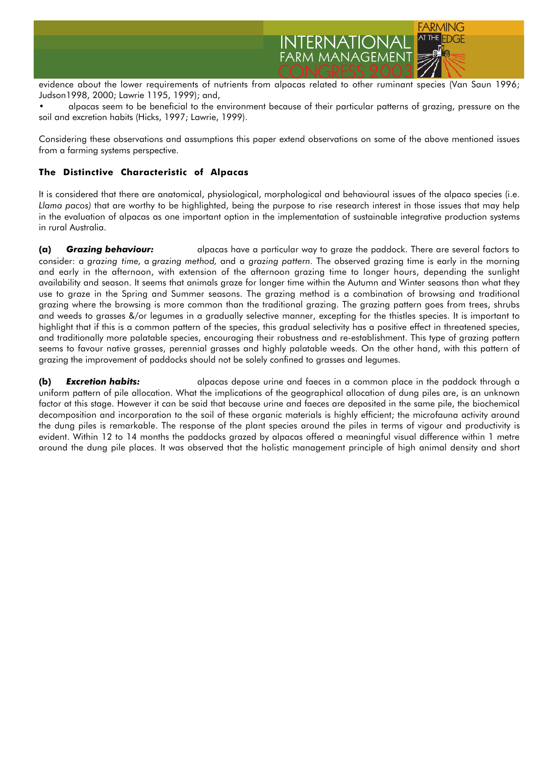

evidence about the lower requirements of nutrients from alpacas related to other ruminant species (Van Saun 1996; Judson1998, 2000; Lawrie 1195, 1999); and,

• alpacas seem to be beneficial to the environment because of their particular patterns of grazing, pressure on the soil and excretion habits (Hicks, 1997; Lawrie, 1999).

Considering these observations and assumptions this paper extend observations on some of the above mentioned issues from a farming systems perspective.

### **The Distinctive Characteristic of Alpacas**

It is considered that there are anatomical, physiological, morphological and behavioural issues of the alpaca species (i.e. *Llama pacos)* that are worthy to be highlighted, being the purpose to rise research interest in those issues that may help in the evaluation of alpacas as one important option in the implementation of sustainable integrative production systems in rural Australia.

**(a)** *Grazing behaviour:* alpacas have a particular way to graze the paddock. There are several factors to consider: a *grazing time,* a *grazing method,* and a *grazing pattern.* The observed grazing time is early in the morning and early in the afternoon, with extension of the afternoon grazing time to longer hours, depending the sunlight availability and season. It seems that animals graze for longer time within the Autumn and Winter seasons than what they use to graze in the Spring and Summer seasons. The grazing method is a combination of browsing and traditional grazing where the browsing is more common than the traditional grazing. The grazing pattern goes from trees, shrubs and weeds to grasses &/or legumes in a gradually selective manner, excepting for the thistles species. It is important to highlight that if this is a common pattern of the species, this gradual selectivity has a positive effect in threatened species, and traditionally more palatable species, encouraging their robustness and re-establishment. This type of grazing pattern seems to favour native grasses, perennial grasses and highly palatable weeds. On the other hand, with this pattern of grazing the improvement of paddocks should not be solely confined to grasses and legumes.

**(b)** *Excretion habits:* alpacas depose urine and faeces in a common place in the paddock through a uniform pattern of pile allocation. What the implications of the geographical allocation of dung piles are, is an unknown factor at this stage. However it can be said that because urine and faeces are deposited in the same pile, the biochemical decomposition and incorporation to the soil of these organic materials is highly efficient; the microfauna activity around the dung piles is remarkable. The response of the plant species around the piles in terms of vigour and productivity is evident. Within 12 to 14 months the paddocks grazed by alpacas offered a meaningful visual difference within 1 metre around the dung pile places. It was observed that the holistic management principle of high animal density and short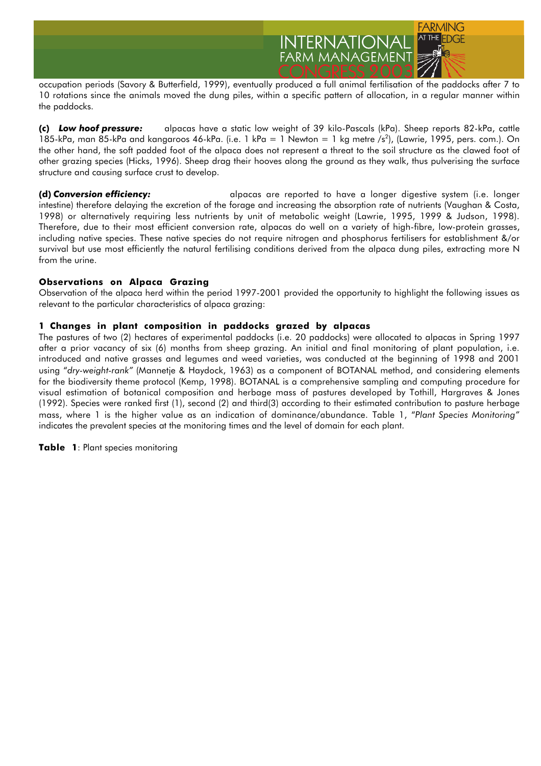

occupation periods (Savory & Butterfield, 1999), eventually produced a full animal fertilisation of the paddocks after 7 to 10 rotations since the animals moved the dung piles, within a specific pattern of allocation, in a regular manner within the paddocks.

**(c)** *Low hoof pressure:* alpacas have a static low weight of 39 kilo-Pascals (kPa). Sheep reports 82-kPa, cattle 185-kPa, man 85-kPa and kangaroos 46-kPa. (i.e. 1 kPa = 1 Newton = 1 kg metre /s<sup>2</sup>), (Lawrie, 1995, pers. com.). On the other hand, the soft padded foot of the alpaca does not represent a threat to the soil structure as the clawed foot of other grazing species (Hicks, 1996). Sheep drag their hooves along the ground as they walk, thus pulverising the surface structure and causing surface crust to develop.

**(d)** *Conversion efficiency:* alpacas are reported to have a longer digestive system (i.e. longer intestine) therefore delaying the excretion of the forage and increasing the absorption rate of nutrients (Vaughan & Costa, 1998) or alternatively requiring less nutrients by unit of metabolic weight (Lawrie, 1995, 1999 & Judson, 1998). Therefore, due to their most efficient conversion rate, alpacas do well on a variety of high-fibre, low-protein grasses, including native species. These native species do not require nitrogen and phosphorus fertilisers for establishment &/or survival but use most efficiently the natural fertilising conditions derived from the alpaca dung piles, extracting more N from the urine.

### **Observations on Alpaca Grazing**

Observation of the alpaca herd within the period 1997-2001 provided the opportunity to highlight the following issues as relevant to the particular characteristics of alpaca grazing:

### **1 Changes in plant composition in paddocks grazed by alpacas**

The pastures of two (2) hectares of experimental paddocks (i.e. 20 paddocks) were allocated to alpacas in Spring 1997 after a prior vacancy of six (6) months from sheep grazing. An initial and final monitoring of plant population, i.e. introduced and native grasses and legumes and weed varieties, was conducted at the beginning of 1998 and 2001 using "*dry-weight-rank"* (Mannetje & Haydock, 1963) as a component of BOTANAL method, and considering elements for the biodiversity theme protocol (Kemp, 1998). BOTANAL is a comprehensive sampling and computing procedure for visual estimation of botanical composition and herbage mass of pastures developed by Tothill, Hargraves & Jones (1992). Species were ranked first (1), second (2) and third(3) according to their estimated contribution to pasture herbage mass, where 1 is the higher value as an indication of dominance/abundance. Table 1, "*Plant Species Monitoring"* indicates the prevalent species at the monitoring times and the level of domain for each plant.

**Table 1**: Plant species monitoring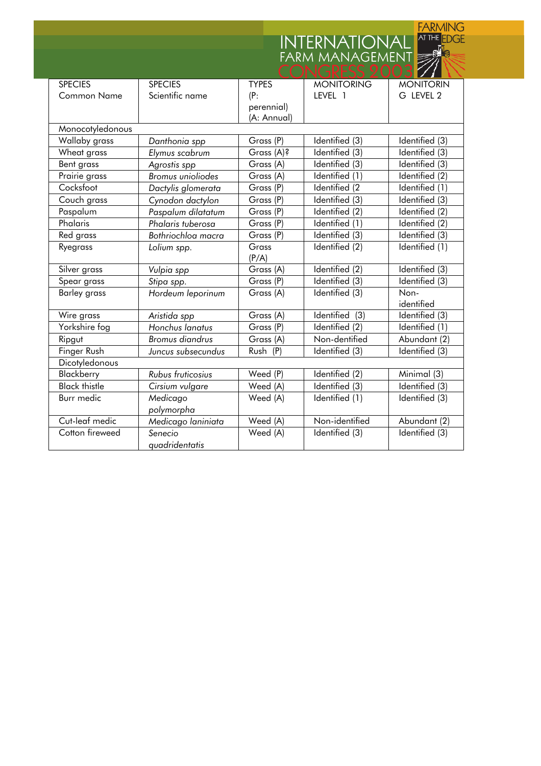# INTERNATIONAL FARMING

| <b>SPECIES</b>       | <b>SPECIES</b>           | <b>TYPES</b> | <b>MONITORING</b>   | <b>MONITORIN</b>  |  |  |
|----------------------|--------------------------|--------------|---------------------|-------------------|--|--|
| <b>Common Name</b>   | Scientific name          | (P:          | LFVFL 1             | G LEVEL 2         |  |  |
|                      |                          | perennial)   |                     |                   |  |  |
|                      |                          | (A: Annual)  |                     |                   |  |  |
| Monocotyledonous     |                          |              |                     |                   |  |  |
| Wallaby grass        | Danthonia spp            | Grass (P)    | $Id$ entified $(3)$ | Identified (3)    |  |  |
| Wheat grass          | Elymus scabrum           | Grass (A)?   | Identified (3)      | Identified (3)    |  |  |
| Bent grass           | Agrostis spp             | Grass (A)    | Identified (3)      | Identified (3)    |  |  |
| Prairie grass        | <b>Bromus</b> unioliodes | Grass (A)    | Identified<br>(1)   | Identified (2)    |  |  |
| Cocksfoot            | Dactylis glomerata       | Grass (P)    | Identified<br>(2)   | Identified<br>(1) |  |  |
| Couch grass          | Cynodon dactylon         | Grass (P)    | Identified (3)      | Identified (3)    |  |  |
| Paspalum             | Paspalum dilatatum       | Grass (P)    | Identified (2)      | Identified (2)    |  |  |
| Phalaris             | Phalaris tuberosa        | Grass (P)    | Identified<br>(1)   | Identified (2)    |  |  |
| Red grass            | Bothriochloa macra       | Grass (P)    | Identified (3)      | Identified (3)    |  |  |
| Ryegrass             | Lolium spp.              | Grass        | Identified (2)      | Identified (1)    |  |  |
|                      |                          | (P/A)        |                     |                   |  |  |
| Silver grass         | Vulpia spp               | Grass (A)    | Identified (2)      | Identified (3)    |  |  |
| Spear grass          | Stipa spp.               | Grass (P)    | Identified (3)      | Identified (3)    |  |  |
| <b>Barley grass</b>  | Hordeum leporinum        | Grass (A)    | Identified (3)      | Non-              |  |  |
|                      |                          |              |                     | identified        |  |  |
| Wire grass           | Aristida spp             | Grass (A)    | Identified<br>(3)   | Identified (3)    |  |  |
| Yorkshire fog        | Honchus lanatus          | Grass (P)    | Identified (2)      | Identified (1)    |  |  |
| Ripgut               | <b>Bromus diandrus</b>   | Grass (A)    | Non-dentified       | Abundant (2)      |  |  |
| Finger Rush          | Juncus subsecundus       | Rush<br>(P)  | Identified (3)      | Identified (3)    |  |  |
| Dicotyledonous       |                          |              |                     |                   |  |  |
| Blackberry           | Rubus fruticosius        | Weed (P)     | Identified (2)      | Minimal (3)       |  |  |
| <b>Black thistle</b> | Cirsium vulgare          | Weed (A)     | Identified (3)      | Identified (3)    |  |  |
| Burr medic           | Medicago                 | Weed (A)     | Identified (1)      | Identified (3)    |  |  |
|                      | polymorpha               |              |                     |                   |  |  |
| Cut-leaf medic       | Medicago laniniata       | Weed (A)     | Non-identified      | Abundant (2)      |  |  |
| Cotton fireweed      | Senecio                  | Weed (A)     | Identified (3)      | Identified (3)    |  |  |
|                      | quadridentatis           |              |                     |                   |  |  |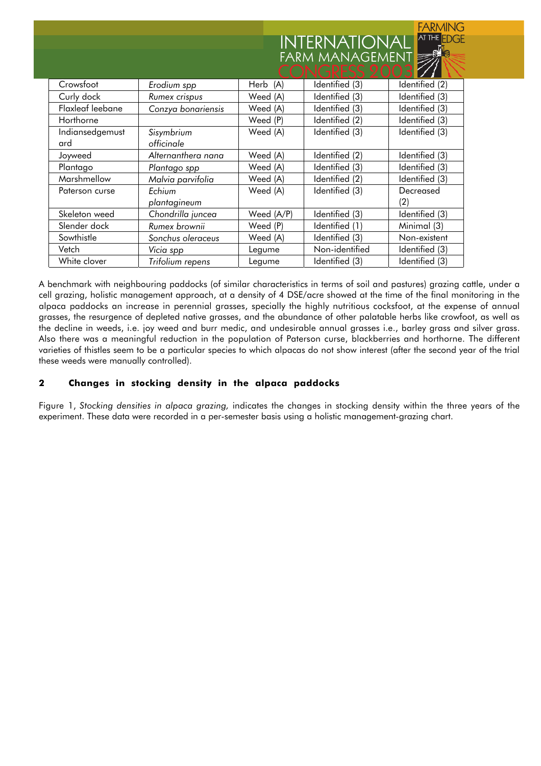|                  |                    | INTERNATIONAL<br><b>THE LUCE</b> |                |                |  |
|------------------|--------------------|----------------------------------|----------------|----------------|--|
|                  |                    | ESPERA<br><u>FARM MANAGEMENT</u> |                |                |  |
|                  |                    |                                  |                |                |  |
| Crowsfoot        | Erodium spp        | (A)<br>Herb                      | Identified (3) | Identified (2) |  |
| Curly dock       | Rumex crispus      | Weed (A)                         | Identified (3) | Identified (3) |  |
| Flaxleaf leebane | Conzya bonariensis | Weed (A)                         | Identified (3) | Identified (3) |  |
| Horthorne        |                    | Weed (P)                         | Identified (2) | Identified (3) |  |
| Indiansedgemust  | Sisymbrium         | Weed (A)                         | Identified (3) | Identified (3) |  |
| ard              | officinale         |                                  |                |                |  |
| Joyweed          | Alternanthera nana | Weed (A)                         | Identified (2) | Identified (3) |  |
| Plantago         | Plantago spp       | Weed (A)                         | Identified (3) | Identified (3) |  |
| Marshmellow      | Malvia parvifolia  | Weed (A)                         | Identified (2) | Identified (3) |  |
| Paterson curse   | Echium             | Weed (A)                         | Identified (3) | Decreased      |  |
|                  | plantagineum       |                                  |                | (2)            |  |
| Skeleton weed    | Chondrilla juncea  | Weed (A/P)                       | Identified (3) | Identified (3) |  |
| Slender dock     | Rumex brownii      | Weed (P)                         | Identified (1) | Minimal (3)    |  |
| Sowthistle       | Sonchus oleraceus  | Weed (A)                         | Identified (3) | Non-existent   |  |
| Vetch            | Vicia spp          | Legume                           | Non-identified | Identified (3) |  |
| White clover     | Trifolium repens   | Legume                           | Identified (3) | Identified (3) |  |

FARMING

A benchmark with neighbouring paddocks (of similar characteristics in terms of soil and pastures) grazing cattle, under a cell grazing, holistic management approach, at a density of 4 DSE/acre showed at the time of the final monitoring in the alpaca paddocks an increase in perennial grasses, specially the highly nutritious cocksfoot, at the expense of annual grasses, the resurgence of depleted native grasses, and the abundance of other palatable herbs like crowfoot, as well as the decline in weeds, i.e. joy weed and burr medic, and undesirable annual grasses i.e., barley grass and silver grass. Also there was a meaningful reduction in the population of Paterson curse, blackberries and horthorne. The different varieties of thistles seem to be a particular species to which alpacas do not show interest (after the second year of the trial these weeds were manually controlled).

# **2 Changes in stocking density in the alpaca paddocks**

Figure 1, *Stocking densities in alpaca grazing,* indicates the changes in stocking density within the three years of the experiment. These data were recorded in a per-semester basis using a holistic management-grazing chart.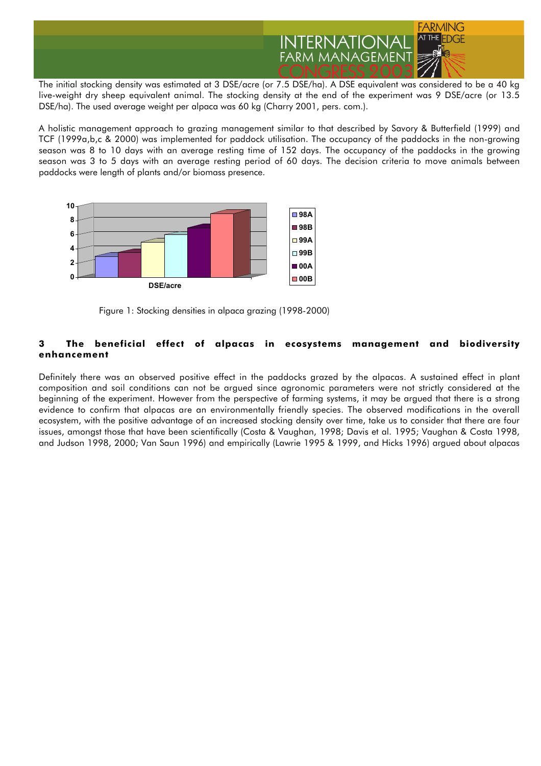

The initial stocking density was estimated at 3 DSE/acre (or 7.5 DSE/ha). A DSE equivalent was considered to be a 40 kg live-weight dry sheep equivalent animal. The stocking density at the end of the experiment was 9 DSE/acre (or 13.5 DSE/ha). The used average weight per alpaca was 60 kg (Charry 2001, pers. com.).

A holistic management approach to grazing management similar to that described by Savory & Butterfield (1999) and TCF (1999a,b,c & 2000) was implemented for paddock utilisation. The occupancy of the paddocks in the non-growing season was 8 to 10 days with an average resting time of 152 days. The occupancy of the paddocks in the growing season was 3 to 5 days with an average resting period of 60 days. The decision criteria to move animals between paddocks were length of plants and/or biomass presence.



Figure 1: Stocking densities in alpaca grazing (1998-2000)

## **3 The beneficial effect of alpacas in ecosystems management and biodiversity enhancement**

Definitely there was an observed positive effect in the paddocks grazed by the alpacas. A sustained effect in plant composition and soil conditions can not be argued since agronomic parameters were not strictly considered at the beginning of the experiment. However from the perspective of farming systems, it may be argued that there is a strong evidence to confirm that alpacas are an environmentally friendly species. The observed modifications in the overall ecosystem, with the positive advantage of an increased stocking density over time, take us to consider that there are four issues, amongst those that have been scientifically (Costa & Vaughan, 1998; Davis et al. 1995; Vaughan & Costa 1998, and Judson 1998, 2000; Van Saun 1996) and empirically (Lawrie 1995 & 1999, and Hicks 1996) argued about alpacas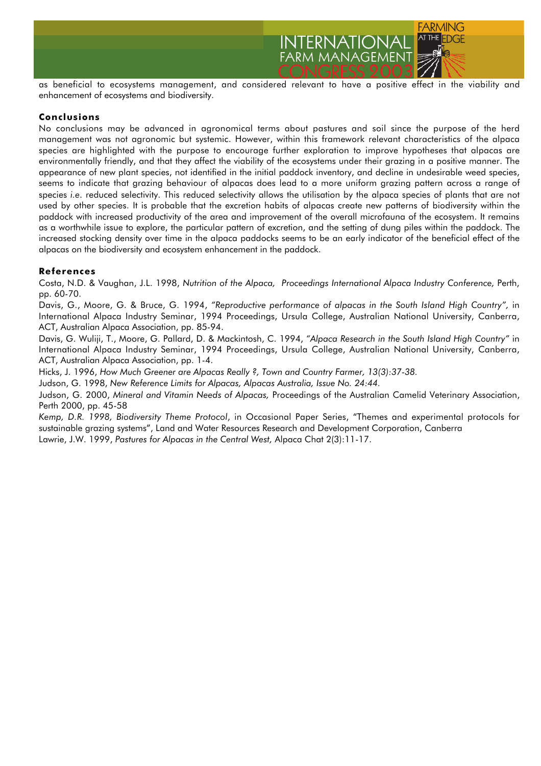

as beneficial to ecosystems management, and considered relevant to have a positive effect in the viability and enhancement of ecosystems and biodiversity.

#### **Conclusions**

No conclusions may be advanced in agronomical terms about pastures and soil since the purpose of the herd management was not agronomic but systemic. However, within this framework relevant characteristics of the alpaca species are highlighted with the purpose to encourage further exploration to improve hypotheses that alpacas are environmentally friendly, and that they affect the viability of the ecosystems under their grazing in a positive manner. The appearance of new plant species, not identified in the initial paddock inventory, and decline in undesirable weed species, seems to indicate that grazing behaviour of alpacas does lead to a more uniform grazing pattern across a range of species *i.e*. reduced selectivity. This reduced selectivity allows the utilisation by the alpaca species of plants that are not used by other species. It is probable that the excretion habits of alpacas create new patterns of biodiversity within the paddock with increased productivity of the area and improvement of the overall microfauna of the ecosystem. It remains as a worthwhile issue to explore, the particular pattern of excretion, and the setting of dung piles within the paddock. The increased stocking density over time in the alpaca paddocks seems to be an early indicator of the beneficial effect of the alpacas on the biodiversity and ecosystem enhancement in the paddock.

#### **References**

Costa, N.D. & Vaughan, J.L. 1998, *Nutrition of the Alpaca, Proceedings International Alpaca Industry Conference,* Perth, pp. 60-70.

Davis, G., Moore, G. & Bruce, G. 1994, *"Reproductive performance of alpacas in the South Island High Country",* in International Alpaca Industry Seminar, 1994 Proceedings, Ursula College, Australian National University, Canberra, ACT, Australian Alpaca Association, pp. 85-94.

Davis, G. Wuliji, T., Moore, G. Pallard, D. & Mackintosh, C. 1994, *"Alpaca Research in the South Island High Country"* in International Alpaca Industry Seminar, 1994 Proceedings, Ursula College, Australian National University, Canberra, ACT, Australian Alpaca Association, pp. 1-4.

Hicks, J. 1996, *How Much Greener are Alpacas Really ?, Town and Country Farmer, 13(3):37-38.*

Judson, G. 1998, *New Reference Limits for Alpacas, Alpacas Australia, Issue No. 24:44.*

Judson, G. 2000, *Mineral and Vitamin Needs of Alpacas,* Proceedings of the Australian Camelid Veterinary Association, Perth 2000, pp. 45-58

*Kemp, D.R. 1998, Biodiversity Theme Protocol*, in Occasional Paper Series, "Themes and experimental protocols for sustainable grazing systems", Land and Water Resources Research and Development Corporation, Canberra Lawrie, J.W. 1999, *Pastures for Alpacas in the Central West,* Alpaca Chat 2(3):11-17.